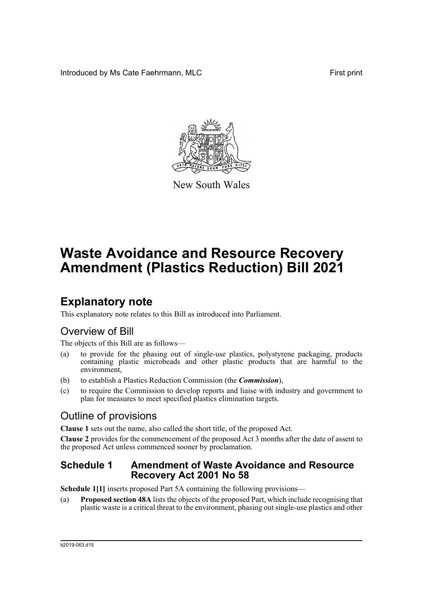Introduced by Ms Cate Faehrmann, MLC **First print** First print



New South Wales

# **Waste Avoidance and Resource Recovery Amendment (Plastics Reduction) Bill 2021**

## **Explanatory note**

This explanatory note relates to this Bill as introduced into Parliament.

## Overview of Bill

The objects of this Bill are as follows—

- (a) to provide for the phasing out of single-use plastics, polystyrene packaging, products containing plastic microbeads and other plastic products that are harmful to the environment,
- (b) to establish a Plastics Reduction Commission (the *Commission*),
- (c) to require the Commission to develop reports and liaise with industry and government to plan for measures to meet specified plastics elimination targets.

## Outline of provisions

**Clause 1** sets out the name, also called the short title, of the proposed Act.

**Clause 2** provides for the commencement of the proposed Act 3 months after the date of assent to the proposed Act unless commenced sooner by proclamation.

### **Schedule 1 Amendment of Waste Avoidance and Resource Recovery Act 2001 No 58**

**Schedule 1[1]** inserts proposed Part 5A containing the following provisions—

(a) **Proposed section 48A** lists the objects of the proposed Part, which include recognising that plastic waste is a critical threat to the environment, phasing out single-use plastics and other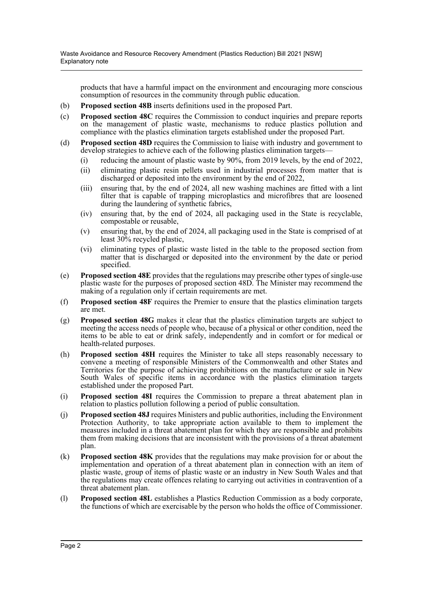products that have a harmful impact on the environment and encouraging more conscious consumption of resources in the community through public education.

- (b) **Proposed section 48B** inserts definitions used in the proposed Part.
- (c) **Proposed section 48C** requires the Commission to conduct inquiries and prepare reports on the management of plastic waste, mechanisms to reduce plastics pollution and compliance with the plastics elimination targets established under the proposed Part.
- (d) **Proposed section 48D** requires the Commission to liaise with industry and government to develop strategies to achieve each of the following plastics elimination targets-
	- (i) reducing the amount of plastic waste by 90%, from 2019 levels, by the end of 2022,
	- (ii) eliminating plastic resin pellets used in industrial processes from matter that is discharged or deposited into the environment by the end of 2022,
	- (iii) ensuring that, by the end of 2024, all new washing machines are fitted with a lint filter that is capable of trapping microplastics and microfibres that are loosened during the laundering of synthetic fabrics,
	- (iv) ensuring that, by the end of 2024, all packaging used in the State is recyclable, compostable or reusable,
	- (v) ensuring that, by the end of 2024, all packaging used in the State is comprised of at least 30% recycled plastic,
	- (vi) eliminating types of plastic waste listed in the table to the proposed section from matter that is discharged or deposited into the environment by the date or period specified.
- (e) **Proposed section 48E** provides that the regulations may prescribe other types of single-use plastic waste for the purposes of proposed section 48D. The Minister may recommend the making of a regulation only if certain requirements are met.
- (f) **Proposed section 48F** requires the Premier to ensure that the plastics elimination targets are met.
- (g) **Proposed section 48G** makes it clear that the plastics elimination targets are subject to meeting the access needs of people who, because of a physical or other condition, need the items to be able to eat or drink safely, independently and in comfort or for medical or health-related purposes.
- (h) **Proposed section 48H** requires the Minister to take all steps reasonably necessary to convene a meeting of responsible Ministers of the Commonwealth and other States and Territories for the purpose of achieving prohibitions on the manufacture or sale in New South Wales of specific items in accordance with the plastics elimination targets established under the proposed Part.
- (i) **Proposed section 48I** requires the Commission to prepare a threat abatement plan in relation to plastics pollution following a period of public consultation.
- (j) **Proposed section 48J** requires Ministers and public authorities, including the Environment Protection Authority, to take appropriate action available to them to implement the measures included in a threat abatement plan for which they are responsible and prohibits them from making decisions that are inconsistent with the provisions of a threat abatement plan.
- (k) **Proposed section 48K** provides that the regulations may make provision for or about the implementation and operation of a threat abatement plan in connection with an item of plastic waste, group of items of plastic waste or an industry in New South Wales and that the regulations may create offences relating to carrying out activities in contravention of a threat abatement plan.
- (l) **Proposed section 48L** establishes a Plastics Reduction Commission as a body corporate, the functions of which are exercisable by the person who holds the office of Commissioner.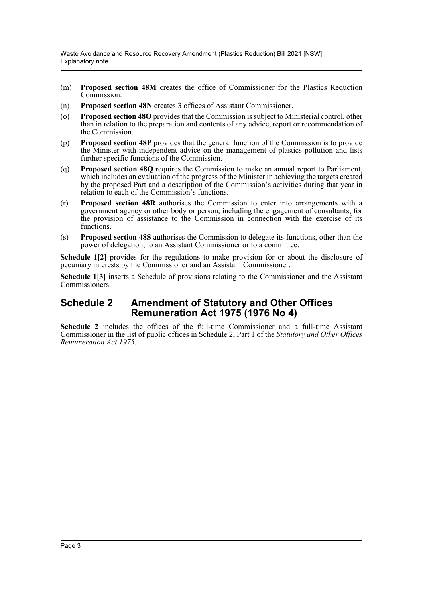Waste Avoidance and Resource Recovery Amendment (Plastics Reduction) Bill 2021 [NSW] Explanatory note

- (m) **Proposed section 48M** creates the office of Commissioner for the Plastics Reduction Commission.
- (n) **Proposed section 48N** creates 3 offices of Assistant Commissioner.
- (o) **Proposed section 48O** provides that the Commission is subject to Ministerial control, other than in relation to the preparation and contents of any advice, report or recommendation of the Commission.
- (p) **Proposed section 48P** provides that the general function of the Commission is to provide the Minister with independent advice on the management of plastics pollution and lists further specific functions of the Commission.
- (q) **Proposed section 48Q** requires the Commission to make an annual report to Parliament, which includes an evaluation of the progress of the Minister in achieving the targets created by the proposed Part and a description of the Commission's activities during that year in relation to each of the Commission's functions.
- (r) **Proposed section 48R** authorises the Commission to enter into arrangements with a government agency or other body or person, including the engagement of consultants, for the provision of assistance to the Commission in connection with the exercise of its functions.
- (s) **Proposed section 48S** authorises the Commission to delegate its functions, other than the power of delegation, to an Assistant Commissioner or to a committee.

**Schedule 1[2]** provides for the regulations to make provision for or about the disclosure of pecuniary interests by the Commissioner and an Assistant Commissioner.

**Schedule 1[3]** inserts a Schedule of provisions relating to the Commissioner and the Assistant Commissioners.

### **Schedule 2 Amendment of Statutory and Other Offices Remuneration Act 1975 (1976 No 4)**

**Schedule 2** includes the offices of the full-time Commissioner and a full-time Assistant Commissioner in the list of public offices in Schedule 2, Part 1 of the *Statutory and Other Offices Remuneration Act 1975*.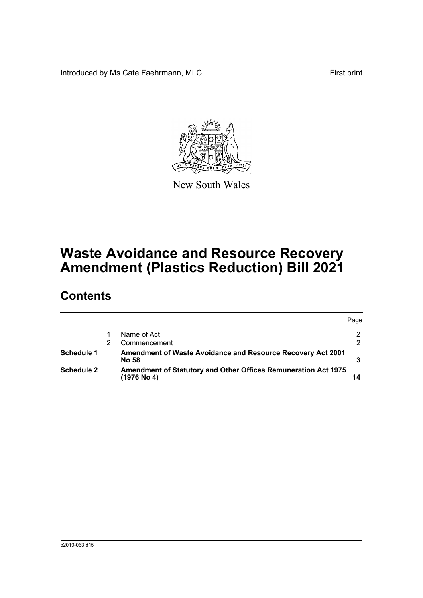Introduced by Ms Cate Faehrmann, MLC First print



New South Wales

# **Waste Avoidance and Resource Recovery Amendment (Plastics Reduction) Bill 2021**

## **Contents**

|                   |                                                                                        | Page          |
|-------------------|----------------------------------------------------------------------------------------|---------------|
|                   | Name of Act                                                                            | 2             |
|                   | Commencement                                                                           | $\mathcal{P}$ |
| Schedule 1        | <b>Amendment of Waste Avoidance and Resource Recovery Act 2001</b><br><b>No 58</b>     |               |
| <b>Schedule 2</b> | <b>Amendment of Statutory and Other Offices Remuneration Act 1975</b><br>$(1976$ No 4) |               |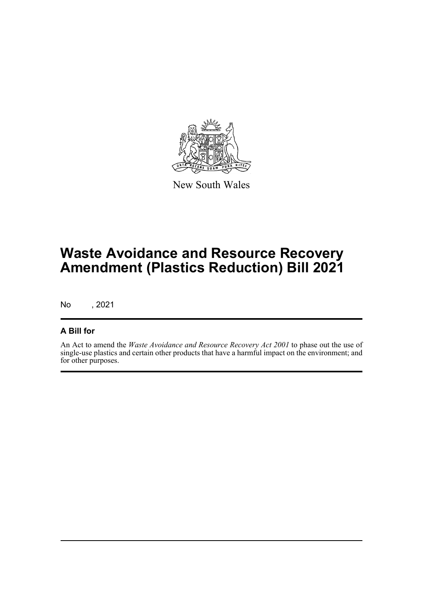

New South Wales

# **Waste Avoidance and Resource Recovery Amendment (Plastics Reduction) Bill 2021**

No , 2021

### **A Bill for**

An Act to amend the *Waste Avoidance and Resource Recovery Act 2001* to phase out the use of single-use plastics and certain other products that have a harmful impact on the environment; and for other purposes.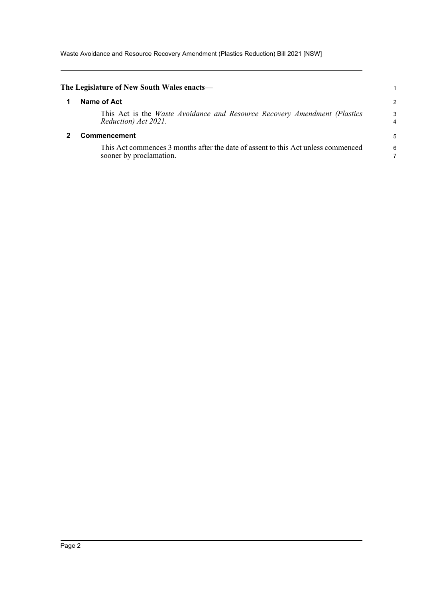Waste Avoidance and Resource Recovery Amendment (Plastics Reduction) Bill 2021 [NSW]

<span id="page-5-1"></span><span id="page-5-0"></span>

| The Legislature of New South Wales enacts—                                                                   |        |
|--------------------------------------------------------------------------------------------------------------|--------|
| Name of Act                                                                                                  | 2      |
| This Act is the <i>Waste Avoidance and Resource Recovery Amendment (Plastics</i><br>Reduction) Act 2021.     | 3<br>4 |
| <b>Commencement</b>                                                                                          | 5      |
| This Act commences 3 months after the date of assent to this Act unless commenced<br>sooner by proclamation. | 6      |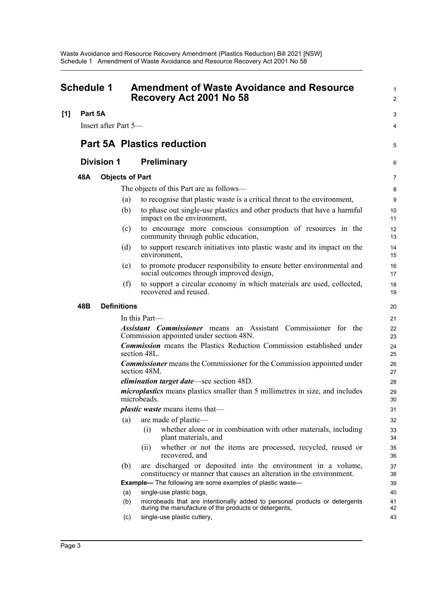<span id="page-6-0"></span>

| <b>Schedule 1</b> |                               |                      | <b>Amendment of Waste Avoidance and Resource</b><br>Recovery Act 2001 No 58 | $\mathbf{1}$<br>$\overline{c}$                                                                                                        |                |
|-------------------|-------------------------------|----------------------|-----------------------------------------------------------------------------|---------------------------------------------------------------------------------------------------------------------------------------|----------------|
| [1]               | Part 5A                       |                      |                                                                             |                                                                                                                                       | 3              |
|                   |                               | Insert after Part 5— |                                                                             |                                                                                                                                       | 4              |
|                   |                               |                      |                                                                             |                                                                                                                                       |                |
|                   |                               |                      |                                                                             | <b>Part 5A Plastics reduction</b>                                                                                                     | 5              |
|                   |                               | <b>Division 1</b>    |                                                                             | <b>Preliminary</b>                                                                                                                    | 6              |
|                   | 48A<br><b>Objects of Part</b> |                      |                                                                             |                                                                                                                                       | $\overline{7}$ |
|                   |                               |                      |                                                                             | The objects of this Part are as follows—                                                                                              | 8              |
|                   |                               |                      | (a)                                                                         | to recognise that plastic waste is a critical threat to the environment,                                                              | $9\,$          |
|                   |                               |                      | (b)                                                                         | to phase out single-use plastics and other products that have a harmful<br>impact on the environment,                                 | 10<br>11       |
|                   |                               |                      | (c)                                                                         | to encourage more conscious consumption of resources in the<br>community through public education,                                    | 12<br>13       |
|                   |                               |                      | (d)                                                                         | to support research initiatives into plastic waste and its impact on the<br>environment,                                              | 14<br>15       |
|                   |                               |                      | (e)                                                                         | to promote producer responsibility to ensure better environmental and<br>social outcomes through improved design,                     | 16<br>17       |
|                   |                               |                      | (f)                                                                         | to support a circular economy in which materials are used, collected,<br>recovered and reused.                                        | 18<br>19       |
|                   | 48B                           |                      | <b>Definitions</b>                                                          |                                                                                                                                       | 20             |
|                   |                               |                      |                                                                             | In this Part-                                                                                                                         | 21             |
|                   |                               |                      |                                                                             | <b>Assistant Commissioner</b> means an Assistant Commissioner for the<br>Commission appointed under section 48N.                      | 22<br>23       |
|                   |                               |                      |                                                                             | <b>Commission</b> means the Plastics Reduction Commission established under<br>section 48L.                                           | 24<br>25       |
|                   |                               |                      |                                                                             | <b>Commissioner</b> means the Commissioner for the Commission appointed under<br>section 48M.                                         | 26<br>27       |
|                   |                               |                      |                                                                             | elimination target date-see section 48D.                                                                                              | 28             |
|                   |                               |                      |                                                                             | <i>microplastics</i> means plastics smaller than 5 millimetres in size, and includes<br>microbeads.                                   | 29<br>30       |
|                   |                               |                      |                                                                             | <i>plastic waste</i> means items that—                                                                                                | 31             |
|                   |                               |                      | (a)                                                                         | are made of plastic-                                                                                                                  | 32             |
|                   |                               |                      |                                                                             | whether alone or in combination with other materials, including<br>(i)<br>plant materials, and                                        | 33<br>34       |
|                   |                               |                      |                                                                             | whether or not the items are processed, recycled, reused or<br>(i)<br>recovered, and                                                  | 35<br>36       |
|                   |                               |                      | (b)                                                                         | are discharged or deposited into the environment in a volume,<br>constituency or manner that causes an alteration in the environment. | 37<br>38       |
|                   |                               |                      |                                                                             | <b>Example-</b> The following are some examples of plastic waste-                                                                     | 39             |
|                   |                               |                      | (a)                                                                         | single-use plastic bags,                                                                                                              | 40             |
|                   |                               |                      | (b)                                                                         | microbeads that are intentionally added to personal products or detergents<br>during the manufacture of the products or detergents,   | 41<br>42       |
|                   |                               |                      | (c)                                                                         | single-use plastic cutlery,                                                                                                           | 43             |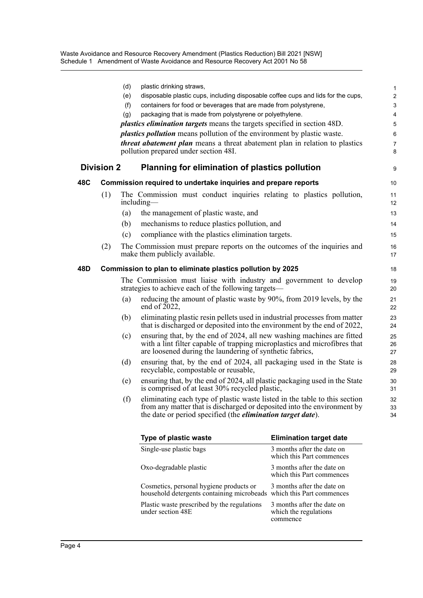Waste Avoidance and Resource Recovery Amendment (Plastics Reduction) Bill 2021 [NSW] Schedule 1 Amendment of Waste Avoidance and Resource Recovery Act 2001 No 58

|     |                   | (d)<br>(e)<br>(f)<br>(g) | plastic drinking straws,<br>disposable plastic cups, including disposable coffee cups and lids for the cups,<br>containers for food or beverages that are made from polystyrene,<br>packaging that is made from polystyrene or polyethylene.<br><i>plastics elimination targets</i> means the targets specified in section 48D.<br><i>plastics pollution</i> means pollution of the environment by plastic waste.<br><i>threat abatement plan</i> means a threat abatement plan in relation to plastics<br>pollution prepared under section 48I. | 1<br>$\overline{\mathbf{c}}$<br>3<br>4<br>5<br>6<br>7<br>8 |
|-----|-------------------|--------------------------|--------------------------------------------------------------------------------------------------------------------------------------------------------------------------------------------------------------------------------------------------------------------------------------------------------------------------------------------------------------------------------------------------------------------------------------------------------------------------------------------------------------------------------------------------|------------------------------------------------------------|
|     | <b>Division 2</b> |                          | Planning for elimination of plastics pollution                                                                                                                                                                                                                                                                                                                                                                                                                                                                                                   | 9                                                          |
| 48C |                   |                          | Commission required to undertake inquiries and prepare reports                                                                                                                                                                                                                                                                                                                                                                                                                                                                                   | 10                                                         |
|     | (1)               |                          | The Commission must conduct inquiries relating to plastics pollution,<br>including—                                                                                                                                                                                                                                                                                                                                                                                                                                                              | 11<br>12                                                   |
|     |                   | (a)                      | the management of plastic waste, and                                                                                                                                                                                                                                                                                                                                                                                                                                                                                                             | 13                                                         |
|     |                   | (b)                      | mechanisms to reduce plastics pollution, and                                                                                                                                                                                                                                                                                                                                                                                                                                                                                                     | 14                                                         |
|     |                   | (c)                      | compliance with the plastics elimination targets.                                                                                                                                                                                                                                                                                                                                                                                                                                                                                                | 15                                                         |
|     | (2)               |                          | The Commission must prepare reports on the outcomes of the inquiries and<br>make them publicly available.                                                                                                                                                                                                                                                                                                                                                                                                                                        | 16<br>17                                                   |
| 48D |                   |                          | Commission to plan to eliminate plastics pollution by 2025                                                                                                                                                                                                                                                                                                                                                                                                                                                                                       | 18                                                         |
|     |                   |                          | The Commission must liaise with industry and government to develop<br>strategies to achieve each of the following targets—                                                                                                                                                                                                                                                                                                                                                                                                                       | 19<br>20                                                   |
|     |                   | (a)                      | reducing the amount of plastic waste by 90%, from 2019 levels, by the<br>end of $2022$ ,                                                                                                                                                                                                                                                                                                                                                                                                                                                         | 21<br>22                                                   |
|     |                   | (b)                      | eliminating plastic resin pellets used in industrial processes from matter<br>that is discharged or deposited into the environment by the end of 2022,                                                                                                                                                                                                                                                                                                                                                                                           | 23<br>24                                                   |
|     |                   | (c)                      | ensuring that, by the end of 2024, all new washing machines are fitted<br>with a lint filter capable of trapping microplastics and microfibres that<br>are loosened during the laundering of synthetic fabrics,                                                                                                                                                                                                                                                                                                                                  | 25<br>26<br>27                                             |
|     |                   | (d)                      | ensuring that, by the end of 2024, all packaging used in the State is<br>recyclable, compostable or reusable,                                                                                                                                                                                                                                                                                                                                                                                                                                    | 28<br>29                                                   |
|     |                   | (e)                      | ensuring that, by the end of 2024, all plastic packaging used in the State<br>is comprised of at least 30% recycled plastic,                                                                                                                                                                                                                                                                                                                                                                                                                     | 30<br>31                                                   |
|     |                   | (f)                      | eliminating each type of plastic waste listed in the table to this section<br>from any matter that is discharged or deposited into the environment by<br>the date or period specified (the <i>elimination target date</i> ).                                                                                                                                                                                                                                                                                                                     | 32<br>33<br>34                                             |

| Type of plastic waste                                                                                                                      | <b>Elimination target date</b>                                  |
|--------------------------------------------------------------------------------------------------------------------------------------------|-----------------------------------------------------------------|
| Single-use plastic bags                                                                                                                    | 3 months after the date on<br>which this Part commences         |
| Oxo-degradable plastic                                                                                                                     | 3 months after the date on<br>which this Part commences         |
| Cosmetics, personal hygiene products or 3 months after the date on<br>household detergents containing microbeads which this Part commences | 3 months after the date on                                      |
| Plastic waste prescribed by the regulations<br>under section 48E                                                                           | 3 months after the date on<br>which the regulations<br>commence |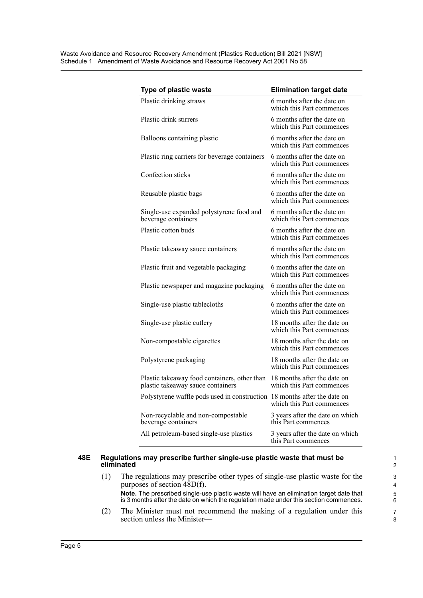| Type of plastic waste                                                             | <b>Elimination target date</b>                           |
|-----------------------------------------------------------------------------------|----------------------------------------------------------|
| Plastic drinking straws                                                           | 6 months after the date on<br>which this Part commences  |
| Plastic drink stirrers                                                            | 6 months after the date on<br>which this Part commences  |
| Balloons containing plastic                                                       | 6 months after the date on<br>which this Part commences  |
| Plastic ring carriers for beverage containers                                     | 6 months after the date on<br>which this Part commences  |
| Confection sticks                                                                 | 6 months after the date on<br>which this Part commences  |
| Reusable plastic bags                                                             | 6 months after the date on<br>which this Part commences  |
| Single-use expanded polystyrene food and<br>beverage containers                   | 6 months after the date on<br>which this Part commences  |
| Plastic cotton buds                                                               | 6 months after the date on<br>which this Part commences  |
| Plastic takeaway sauce containers                                                 | 6 months after the date on<br>which this Part commences  |
| Plastic fruit and vegetable packaging                                             | 6 months after the date on<br>which this Part commences  |
| Plastic newspaper and magazine packaging                                          | 6 months after the date on<br>which this Part commences  |
| Single-use plastic tablecloths                                                    | 6 months after the date on<br>which this Part commences  |
| Single-use plastic cutlery                                                        | 18 months after the date on<br>which this Part commences |
| Non-compostable cigarettes                                                        | 18 months after the date on<br>which this Part commences |
| Polystyrene packaging                                                             | 18 months after the date on<br>which this Part commences |
| Plastic takeaway food containers, other than<br>plastic takeaway sauce containers | 18 months after the date on<br>which this Part commences |
| Polystyrene waffle pods used in construction 18 months after the date on          | which this Part commences                                |
| Non-recyclable and non-compostable<br>beverage containers                         | 3 years after the date on which<br>this Part commences   |
| All petroleum-based single-use plastics                                           | 3 years after the date on which<br>this Part commences   |

#### **48E Regulations may prescribe further single-use plastic waste that must be eliminated**

- (1) The regulations may prescribe other types of single-use plastic waste for the purposes of section 48D(f). **Note.** The prescribed single-use plastic waste will have an elimination target date that is 3 months after the date on which the regulation made under this section commences.
- (2) The Minister must not recommend the making of a regulation under this section unless the Minister—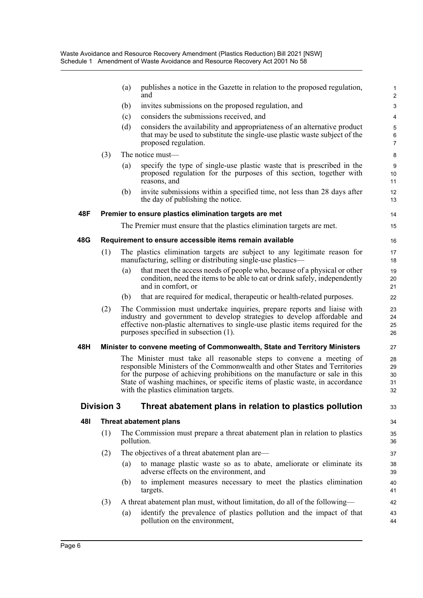|     |                   | (a) | publishes a notice in the Gazette in relation to the proposed regulation,<br>and                                                                                                                                                                                                                                                                            | 1<br>$\overline{c}$          |
|-----|-------------------|-----|-------------------------------------------------------------------------------------------------------------------------------------------------------------------------------------------------------------------------------------------------------------------------------------------------------------------------------------------------------------|------------------------------|
|     |                   | (b) | invites submissions on the proposed regulation, and                                                                                                                                                                                                                                                                                                         | 3                            |
|     |                   | (c) | considers the submissions received, and                                                                                                                                                                                                                                                                                                                     | 4                            |
|     |                   | (d) | considers the availability and appropriateness of an alternative product<br>that may be used to substitute the single-use plastic waste subject of the<br>proposed regulation.                                                                                                                                                                              | 5<br>$\,6$<br>$\overline{7}$ |
|     | (3)               |     | The notice must-                                                                                                                                                                                                                                                                                                                                            | 8                            |
|     |                   | (a) | specify the type of single-use plastic waste that is prescribed in the<br>proposed regulation for the purposes of this section, together with<br>reasons, and                                                                                                                                                                                               | 9<br>10<br>11                |
|     |                   | (b) | invite submissions within a specified time, not less than 28 days after<br>the day of publishing the notice.                                                                                                                                                                                                                                                | 12<br>13                     |
| 48F |                   |     | Premier to ensure plastics elimination targets are met                                                                                                                                                                                                                                                                                                      | 14                           |
|     |                   |     | The Premier must ensure that the plastics elimination targets are met.                                                                                                                                                                                                                                                                                      | 15                           |
| 48G |                   |     | Requirement to ensure accessible items remain available                                                                                                                                                                                                                                                                                                     | 16                           |
|     | (1)               |     | The plastics elimination targets are subject to any legitimate reason for<br>manufacturing, selling or distributing single-use plastics—                                                                                                                                                                                                                    | 17<br>18                     |
|     |                   | (a) | that meet the access needs of people who, because of a physical or other<br>condition, need the items to be able to eat or drink safely, independently<br>and in comfort, or                                                                                                                                                                                | 19<br>20<br>21               |
|     |                   | (b) | that are required for medical, therapeutic or health-related purposes.                                                                                                                                                                                                                                                                                      | 22                           |
|     | (2)               |     | The Commission must undertake inquiries, prepare reports and liaise with<br>industry and government to develop strategies to develop affordable and<br>effective non-plastic alternatives to single-use plastic items required for the<br>purposes specified in subsection (1).                                                                             | 23<br>24<br>25<br>26         |
| 48H |                   |     | Minister to convene meeting of Commonwealth, State and Territory Ministers                                                                                                                                                                                                                                                                                  | 27                           |
|     |                   |     | The Minister must take all reasonable steps to convene a meeting of<br>responsible Ministers of the Commonwealth and other States and Territories<br>for the purpose of achieving prohibitions on the manufacture or sale in this<br>State of washing machines, or specific items of plastic waste, in accordance<br>with the plastics elimination targets. | 28<br>29<br>30<br>31<br>32   |
|     | <b>Division 3</b> |     | Threat abatement plans in relation to plastics pollution                                                                                                                                                                                                                                                                                                    | 33                           |
| 48I |                   |     | <b>Threat abatement plans</b>                                                                                                                                                                                                                                                                                                                               | 34                           |
|     | (1)               |     | The Commission must prepare a threat abatement plan in relation to plastics<br>pollution.                                                                                                                                                                                                                                                                   | 35<br>36                     |
|     | (2)               |     | The objectives of a threat abatement plan are—                                                                                                                                                                                                                                                                                                              | 37                           |
|     |                   | (a) | to manage plastic waste so as to abate, ameliorate or eliminate its<br>adverse effects on the environment, and                                                                                                                                                                                                                                              | 38<br>39                     |
|     |                   | (b) | to implement measures necessary to meet the plastics elimination<br>targets.                                                                                                                                                                                                                                                                                | 40<br>41                     |
|     | (3)               |     | A threat abatement plan must, without limitation, do all of the following—                                                                                                                                                                                                                                                                                  | 42                           |
|     |                   | (a) | identify the prevalence of plastics pollution and the impact of that<br>pollution on the environment,                                                                                                                                                                                                                                                       | 43<br>44                     |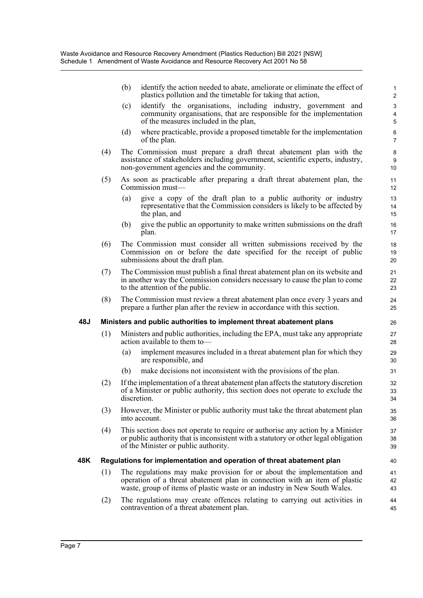|     | (b) | identify the action needed to abate, ameliorate or eliminate the effect of<br>plastics pollution and the timetable for taking that action,                                                         | $\mathbf 1$<br>$\overline{2}$ |
|-----|-----|----------------------------------------------------------------------------------------------------------------------------------------------------------------------------------------------------|-------------------------------|
|     | (c) | identify the organisations, including industry, government and<br>community organisations, that are responsible for the implementation<br>of the measures included in the plan,                    | $\mathsf 3$<br>4<br>5         |
|     | (d) | where practicable, provide a proposed timetable for the implementation<br>of the plan.                                                                                                             | 6<br>$\overline{7}$           |
| (4) |     | The Commission must prepare a draft threat abatement plan with the<br>assistance of stakeholders including government, scientific experts, industry,<br>non-government agencies and the community. | $\bf 8$<br>9<br>10            |
| (5) |     | As soon as practicable after preparing a draft threat abatement plan, the<br>Commission must—                                                                                                      | 11<br>12                      |
|     | (a) | give a copy of the draft plan to a public authority or industry<br>representative that the Commission considers is likely to be affected by<br>the plan, and                                       | 13<br>14<br>15                |
|     | (b) | give the public an opportunity to make written submissions on the draft<br>plan.                                                                                                                   | 16<br>17                      |
| (6) |     | The Commission must consider all written submissions received by the<br>Commission on or before the date specified for the receipt of public<br>submissions about the draft plan.                  | 18<br>19<br>20                |
| (7) |     | The Commission must publish a final threat abatement plan on its website and<br>in another way the Commission considers necessary to cause the plan to come<br>to the attention of the public.     | 21<br>22<br>23                |

(8) The Commission must review a threat abatement plan once every 3 years and prepare a further plan after the review in accordance with this section.

#### **48J Ministers and public authorities to implement threat abatement plans**

- (1) Ministers and public authorities, including the EPA, must take any appropriate action available to them to—
	- (a) implement measures included in a threat abatement plan for which they are responsible, and

24 25

- (b) make decisions not inconsistent with the provisions of the plan.
- (2) If the implementation of a threat abatement plan affects the statutory discretion of a Minister or public authority, this section does not operate to exclude the discretion.
- (3) However, the Minister or public authority must take the threat abatement plan into account.
- (4) This section does not operate to require or authorise any action by a Minister or public authority that is inconsistent with a statutory or other legal obligation of the Minister or public authority.

#### **48K Regulations for implementation and operation of threat abatement plan**

- (1) The regulations may make provision for or about the implementation and operation of a threat abatement plan in connection with an item of plastic waste, group of items of plastic waste or an industry in New South Wales.
- (2) The regulations may create offences relating to carrying out activities in contravention of a threat abatement plan.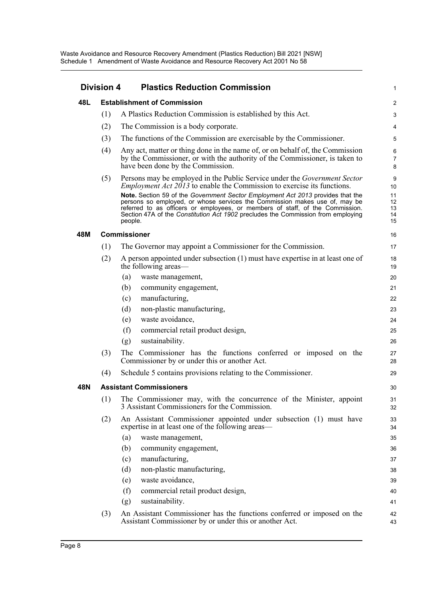| <b>Division 4</b> |     | <b>Plastics Reduction Commission</b>                                                                                                                                                                                                                                                                                                                                                                                                                                                                                | 1                                     |
|-------------------|-----|---------------------------------------------------------------------------------------------------------------------------------------------------------------------------------------------------------------------------------------------------------------------------------------------------------------------------------------------------------------------------------------------------------------------------------------------------------------------------------------------------------------------|---------------------------------------|
| 48L               |     | <b>Establishment of Commission</b>                                                                                                                                                                                                                                                                                                                                                                                                                                                                                  | $\overline{c}$                        |
|                   | (1) | A Plastics Reduction Commission is established by this Act.                                                                                                                                                                                                                                                                                                                                                                                                                                                         | 3                                     |
|                   | (2) | The Commission is a body corporate.                                                                                                                                                                                                                                                                                                                                                                                                                                                                                 | 4                                     |
|                   | (3) | The functions of the Commission are exercisable by the Commissioner.                                                                                                                                                                                                                                                                                                                                                                                                                                                | 5                                     |
|                   | (4) | Any act, matter or thing done in the name of, or on behalf of, the Commission<br>by the Commissioner, or with the authority of the Commissioner, is taken to<br>have been done by the Commission.                                                                                                                                                                                                                                                                                                                   | 6<br>$\overline{7}$<br>8              |
|                   | (5) | Persons may be employed in the Public Service under the <i>Government Sector</i><br><i>Employment Act 2013</i> to enable the Commission to exercise its functions.<br>Note. Section 59 of the Government Sector Employment Act 2013 provides that the<br>persons so employed, or whose services the Commission makes use of, may be<br>referred to as officers or employees, or members of staff, of the Commission.<br>Section 47A of the Constitution Act 1902 precludes the Commission from employing<br>people. | 9<br>10<br>11<br>12<br>13<br>14<br>15 |
| 48M               |     | <b>Commissioner</b>                                                                                                                                                                                                                                                                                                                                                                                                                                                                                                 | 16                                    |
|                   | (1) | The Governor may appoint a Commissioner for the Commission.                                                                                                                                                                                                                                                                                                                                                                                                                                                         | 17                                    |
|                   | (2) | A person appointed under subsection $(1)$ must have expertise in at least one of<br>the following areas—                                                                                                                                                                                                                                                                                                                                                                                                            | 18<br>19                              |
|                   |     | (a)<br>waste management,                                                                                                                                                                                                                                                                                                                                                                                                                                                                                            | 20                                    |
|                   |     | (b)<br>community engagement,                                                                                                                                                                                                                                                                                                                                                                                                                                                                                        | 21                                    |
|                   |     | manufacturing,<br>(c)                                                                                                                                                                                                                                                                                                                                                                                                                                                                                               | 22                                    |
|                   |     | non-plastic manufacturing,<br>(d)                                                                                                                                                                                                                                                                                                                                                                                                                                                                                   | 23                                    |
|                   |     | waste avoidance,<br>(e)                                                                                                                                                                                                                                                                                                                                                                                                                                                                                             | 24                                    |
|                   |     | (f)<br>commercial retail product design,                                                                                                                                                                                                                                                                                                                                                                                                                                                                            | 25                                    |
|                   |     | sustainability.<br>(g)                                                                                                                                                                                                                                                                                                                                                                                                                                                                                              | 26                                    |
|                   | (3) | The Commissioner has the functions conferred or imposed on the<br>Commissioner by or under this or another Act.                                                                                                                                                                                                                                                                                                                                                                                                     | 27<br>28                              |
|                   | (4) | Schedule 5 contains provisions relating to the Commissioner.                                                                                                                                                                                                                                                                                                                                                                                                                                                        | 29                                    |
| 48N               |     | <b>Assistant Commissioners</b>                                                                                                                                                                                                                                                                                                                                                                                                                                                                                      | 30                                    |
|                   |     | (1) The Commissioner may, with the concurrence of the Minister, appoint<br>3 Assistant Commissioners for the Commission.                                                                                                                                                                                                                                                                                                                                                                                            | 31<br>32                              |
|                   | (2) | An Assistant Commissioner appointed under subsection (1) must have<br>expertise in at least one of the following areas—                                                                                                                                                                                                                                                                                                                                                                                             | 33<br>34                              |
|                   |     | (a)<br>waste management,                                                                                                                                                                                                                                                                                                                                                                                                                                                                                            | 35                                    |
|                   |     | community engagement,<br>(b)                                                                                                                                                                                                                                                                                                                                                                                                                                                                                        | 36                                    |
|                   |     | manufacturing,<br>(c)                                                                                                                                                                                                                                                                                                                                                                                                                                                                                               | 37                                    |
|                   |     | non-plastic manufacturing,<br>(d)                                                                                                                                                                                                                                                                                                                                                                                                                                                                                   | 38                                    |
|                   |     | waste avoidance,<br>(e)                                                                                                                                                                                                                                                                                                                                                                                                                                                                                             | 39                                    |
|                   |     | (f)<br>commercial retail product design,                                                                                                                                                                                                                                                                                                                                                                                                                                                                            | 40                                    |
|                   |     | sustainability.<br>(g)                                                                                                                                                                                                                                                                                                                                                                                                                                                                                              | 41                                    |
|                   | (3) | An Assistant Commissioner has the functions conferred or imposed on the<br>Assistant Commissioner by or under this or another Act.                                                                                                                                                                                                                                                                                                                                                                                  | 42<br>43                              |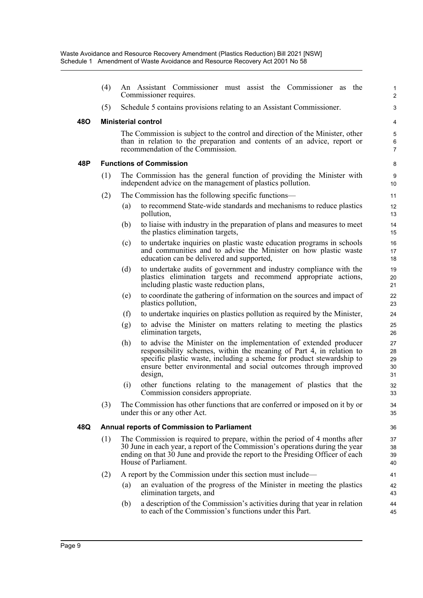|     | (4) |     | An Assistant Commissioner must assist the Commissioner as the<br>Commissioner requires.                                                                                                                                                                                                           | $\mathbf{1}$<br>$\overline{c}$ |
|-----|-----|-----|---------------------------------------------------------------------------------------------------------------------------------------------------------------------------------------------------------------------------------------------------------------------------------------------------|--------------------------------|
|     | (5) |     | Schedule 5 contains provisions relating to an Assistant Commissioner.                                                                                                                                                                                                                             | 3                              |
| 48O |     |     | <b>Ministerial control</b>                                                                                                                                                                                                                                                                        | 4                              |
|     |     |     | The Commission is subject to the control and direction of the Minister, other<br>than in relation to the preparation and contents of an advice, report or<br>recommendation of the Commission.                                                                                                    | 5<br>$\,6$<br>$\overline{7}$   |
| 48P |     |     | <b>Functions of Commission</b>                                                                                                                                                                                                                                                                    | 8                              |
|     | (1) |     | The Commission has the general function of providing the Minister with<br>independent advice on the management of plastics pollution.                                                                                                                                                             | 9<br>10                        |
|     | (2) |     | The Commission has the following specific functions—                                                                                                                                                                                                                                              | 11                             |
|     |     | (a) | to recommend State-wide standards and mechanisms to reduce plastics<br>pollution,                                                                                                                                                                                                                 | 12<br>13                       |
|     |     | (b) | to liaise with industry in the preparation of plans and measures to meet<br>the plastics elimination targets,                                                                                                                                                                                     | 14<br>15                       |
|     |     | (c) | to undertake inquiries on plastic waste education programs in schools<br>and communities and to advise the Minister on how plastic waste<br>education can be delivered and supported,                                                                                                             | 16<br>17<br>18                 |
|     |     | (d) | to undertake audits of government and industry compliance with the<br>plastics elimination targets and recommend appropriate actions,<br>including plastic waste reduction plans,                                                                                                                 | 19<br>20<br>21                 |
|     |     | (e) | to coordinate the gathering of information on the sources and impact of<br>plastics pollution,                                                                                                                                                                                                    | 22<br>23                       |
|     |     | (f) | to undertake inquiries on plastics pollution as required by the Minister,                                                                                                                                                                                                                         | 24                             |
|     |     | (g) | to advise the Minister on matters relating to meeting the plastics<br>elimination targets,                                                                                                                                                                                                        | 25<br>26                       |
|     |     | (h) | to advise the Minister on the implementation of extended producer<br>responsibility schemes, within the meaning of Part 4, in relation to<br>specific plastic waste, including a scheme for product stewardship to<br>ensure better environmental and social outcomes through improved<br>design, | 27<br>28<br>29<br>30<br>31     |
|     |     | (i) | other functions relating to the management of plastics that the<br>Commission considers appropriate.                                                                                                                                                                                              | 32<br>33                       |
|     | (3) |     | The Commission has other functions that are conferred or imposed on it by or<br>under this or any other Act.                                                                                                                                                                                      | 34<br>35                       |
| 48Q |     |     | <b>Annual reports of Commission to Parliament</b>                                                                                                                                                                                                                                                 | 36                             |
|     | (1) |     | The Commission is required to prepare, within the period of 4 months after<br>30 June in each year, a report of the Commission's operations during the year<br>ending on that 30 June and provide the report to the Presiding Officer of each<br>House of Parliament.                             | 37<br>38<br>39<br>40           |
|     | (2) |     | A report by the Commission under this section must include—                                                                                                                                                                                                                                       | 41                             |
|     |     | (a) | an evaluation of the progress of the Minister in meeting the plastics<br>elimination targets, and                                                                                                                                                                                                 | 42<br>43                       |
|     |     | (b) | a description of the Commission's activities during that year in relation<br>to each of the Commission's functions under this Part.                                                                                                                                                               | 44<br>45                       |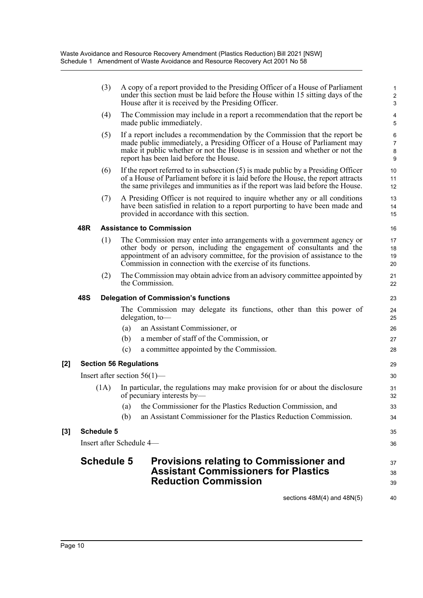|     | (3)               | A copy of a report provided to the Presiding Officer of a House of Parliament<br>under this section must be laid before the House within 15 sitting days of the<br>House after it is received by the Presiding Officer.                                                                         | $\mathbf{1}$<br>$\sqrt{2}$<br>$\mathbf{3}$ |
|-----|-------------------|-------------------------------------------------------------------------------------------------------------------------------------------------------------------------------------------------------------------------------------------------------------------------------------------------|--------------------------------------------|
|     | (4)               | The Commission may include in a report a recommendation that the report be<br>made public immediately.                                                                                                                                                                                          | 4<br>5                                     |
|     | (5)               | If a report includes a recommendation by the Commission that the report be<br>made public immediately, a Presiding Officer of a House of Parliament may<br>make it public whether or not the House is in session and whether or not the<br>report has been laid before the House.               | $\,6$<br>$\overline{7}$<br>$\bf 8$<br>9    |
|     | (6)               | If the report referred to in subsection $(5)$ is made public by a Presiding Officer<br>of a House of Parliament before it is laid before the House, the report attracts<br>the same privileges and immunities as if the report was laid before the House.                                       | 10<br>11<br>12                             |
|     | (7)               | A Presiding Officer is not required to inquire whether any or all conditions<br>have been satisfied in relation to a report purporting to have been made and<br>provided in accordance with this section.                                                                                       | 13<br>14<br>15                             |
| 48R |                   | <b>Assistance to Commission</b>                                                                                                                                                                                                                                                                 | 16                                         |
|     | (1)               | The Commission may enter into arrangements with a government agency or<br>other body or person, including the engagement of consultants and the<br>appointment of an advisory committee, for the provision of assistance to the<br>Commission in connection with the exercise of its functions. | 17<br>18<br>19<br>20                       |
|     | (2)               | The Commission may obtain advice from an advisory committee appointed by<br>the Commission.                                                                                                                                                                                                     | 21<br>22                                   |
| 48S |                   | <b>Delegation of Commission's functions</b>                                                                                                                                                                                                                                                     | 23                                         |
|     |                   | The Commission may delegate its functions, other than this power of<br>delegation, to-                                                                                                                                                                                                          | 24<br>25                                   |
|     |                   | an Assistant Commissioner, or<br>(a)                                                                                                                                                                                                                                                            | 26                                         |
|     |                   | a member of staff of the Commission, or<br>(b)                                                                                                                                                                                                                                                  | 27                                         |
|     |                   | a committee appointed by the Commission.<br>(c)                                                                                                                                                                                                                                                 | 28                                         |
|     |                   | <b>Section 56 Regulations</b>                                                                                                                                                                                                                                                                   | 29                                         |
|     |                   | Insert after section $56(1)$ —                                                                                                                                                                                                                                                                  | 30                                         |
|     | (1A)              | In particular, the regulations may make provision for or about the disclosure<br>of pecuniary interests by—                                                                                                                                                                                     | 31<br>32                                   |
|     |                   | the Commissioner for the Plastics Reduction Commission, and<br>(a)                                                                                                                                                                                                                              | 33                                         |
|     |                   | an Assistant Commissioner for the Plastics Reduction Commission.<br>(b)                                                                                                                                                                                                                         | 34                                         |
|     | <b>Schedule 5</b> |                                                                                                                                                                                                                                                                                                 | 35                                         |
|     |                   | Insert after Schedule 4-                                                                                                                                                                                                                                                                        | 36                                         |
|     |                   |                                                                                                                                                                                                                                                                                                 |                                            |
|     | <b>Schedule 5</b> | <b>Provisions relating to Commissioner and</b><br><b>Assistant Commissioners for Plastics</b>                                                                                                                                                                                                   | 37                                         |
|     |                   | <b>Reduction Commission</b>                                                                                                                                                                                                                                                                     | 38                                         |
|     |                   |                                                                                                                                                                                                                                                                                                 | 39                                         |
|     |                   | sections $48M(4)$ and $48N(5)$                                                                                                                                                                                                                                                                  | 40                                         |

 $[2]$ 

[3]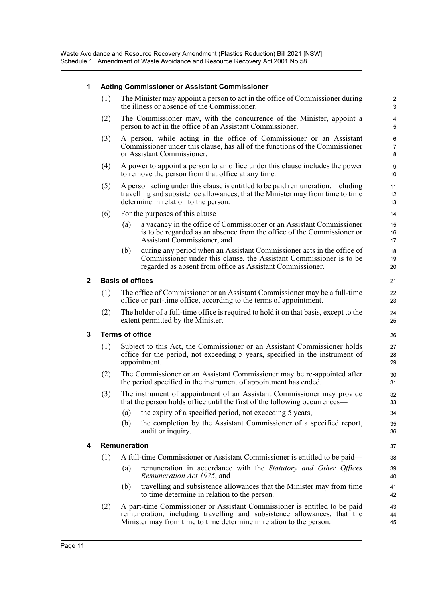#### **1 Acting Commissioner or Assistant Commissioner**

(1) The Minister may appoint a person to act in the office of Commissioner during the illness or absence of the Commissioner.

- (2) The Commissioner may, with the concurrence of the Minister, appoint a person to act in the office of an Assistant Commissioner.
- (3) A person, while acting in the office of Commissioner or an Assistant Commissioner under this clause, has all of the functions of the Commissioner or Assistant Commissioner.
- (4) A power to appoint a person to an office under this clause includes the power to remove the person from that office at any time.
- (5) A person acting under this clause is entitled to be paid remuneration, including travelling and subsistence allowances, that the Minister may from time to time determine in relation to the person.
- (6) For the purposes of this clause—
	- (a) a vacancy in the office of Commissioner or an Assistant Commissioner is to be regarded as an absence from the office of the Commissioner or Assistant Commissioner, and
	- (b) during any period when an Assistant Commissioner acts in the office of Commissioner under this clause, the Assistant Commissioner is to be regarded as absent from office as Assistant Commissioner.

#### **2 Basis of offices**

- (1) The office of Commissioner or an Assistant Commissioner may be a full-time office or part-time office, according to the terms of appointment.
- (2) The holder of a full-time office is required to hold it on that basis, except to the extent permitted by the Minister.

#### **3 Terms of office**

- (1) Subject to this Act, the Commissioner or an Assistant Commissioner holds office for the period, not exceeding 5 years, specified in the instrument of appointment.
- (2) The Commissioner or an Assistant Commissioner may be re-appointed after the period specified in the instrument of appointment has ended.
- (3) The instrument of appointment of an Assistant Commissioner may provide that the person holds office until the first of the following occurrences—
	- (a) the expiry of a specified period, not exceeding 5 years,
	- (b) the completion by the Assistant Commissioner of a specified report, audit or inquiry.

#### **4 Remuneration**

- (1) A full-time Commissioner or Assistant Commissioner is entitled to be paid—
	- (a) remuneration in accordance with the *Statutory and Other Offices Remuneration Act 1975*, and
	- (b) travelling and subsistence allowances that the Minister may from time to time determine in relation to the person.
- (2) A part-time Commissioner or Assistant Commissioner is entitled to be paid remuneration, including travelling and subsistence allowances, that the Minister may from time to time determine in relation to the person.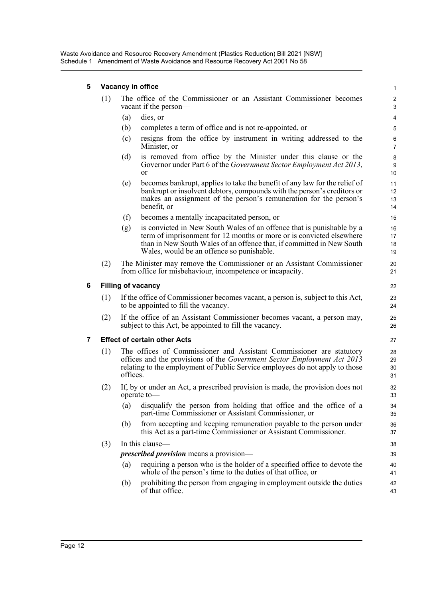Waste Avoidance and Resource Recovery Amendment (Plastics Reduction) Bill 2021 [NSW] Schedule 1 Amendment of Waste Avoidance and Resource Recovery Act 2001 No 58

#### **5 Vacancy in office**

| (1) | The office of the Commissioner or an Assistant Commissioner becomes |  |
|-----|---------------------------------------------------------------------|--|
|     | vacant if the person—                                               |  |

- (a) dies, or
- (b) completes a term of office and is not re-appointed, or
- (c) resigns from the office by instrument in writing addressed to the Minister, or

- (d) is removed from office by the Minister under this clause or the Governor under Part 6 of the *Government Sector Employment Act 2013*, or
- (e) becomes bankrupt, applies to take the benefit of any law for the relief of bankrupt or insolvent debtors, compounds with the person's creditors or makes an assignment of the person's remuneration for the person's benefit, or
- (f) becomes a mentally incapacitated person, or
- (g) is convicted in New South Wales of an offence that is punishable by a term of imprisonment for 12 months or more or is convicted elsewhere than in New South Wales of an offence that, if committed in New South Wales, would be an offence so punishable.
- (2) The Minister may remove the Commissioner or an Assistant Commissioner from office for misbehaviour, incompetence or incapacity.

#### **6 Filling of vacancy**

- (1) If the office of Commissioner becomes vacant, a person is, subject to this Act, to be appointed to fill the vacancy.
- (2) If the office of an Assistant Commissioner becomes vacant, a person may, subject to this Act, be appointed to fill the vacancy.

#### **7 Effect of certain other Acts**

- (1) The offices of Commissioner and Assistant Commissioner are statutory offices and the provisions of the *Government Sector Employment Act 2013* relating to the employment of Public Service employees do not apply to those offices.
- (2) If, by or under an Act, a prescribed provision is made, the provision does not operate to—
	- (a) disqualify the person from holding that office and the office of a part-time Commissioner or Assistant Commissioner, or
	- (b) from accepting and keeping remuneration payable to the person under this Act as a part-time Commissioner or Assistant Commissioner.

#### (3) In this clause—

#### *prescribed provision* means a provision—

- (a) requiring a person who is the holder of a specified office to devote the whole of the person's time to the duties of that office, or
- (b) prohibiting the person from engaging in employment outside the duties of that office.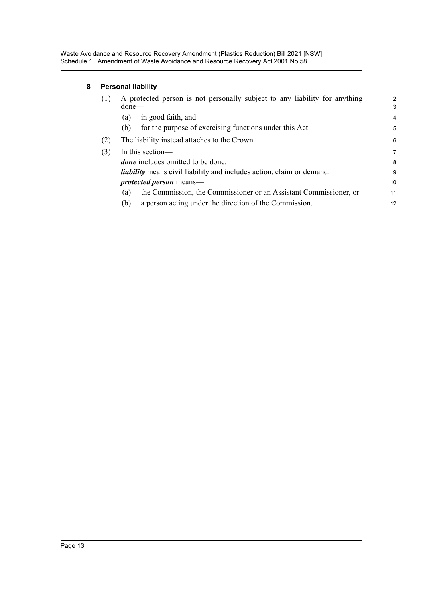Waste Avoidance and Resource Recovery Amendment (Plastics Reduction) Bill 2021 [NSW] Schedule 1 Amendment of Waste Avoidance and Resource Recovery Act 2001 No 58

### **8 Personal liability**

| <b>Personal liability</b><br>1 |                                                                                        |                |  |
|--------------------------------|----------------------------------------------------------------------------------------|----------------|--|
| (1)                            | A protected person is not personally subject to any liability for anything<br>$done$ — | 2<br>3         |  |
|                                | in good faith, and<br>(a)                                                              | $\overline{4}$ |  |
|                                | for the purpose of exercising functions under this Act.<br>(b)                         | 5              |  |
| (2)                            | The liability instead attaches to the Crown.                                           |                |  |
| (3)                            | In this section—                                                                       | 7              |  |
|                                | <i>done</i> includes omitted to be done.                                               | 8              |  |
|                                | <i>liability</i> means civil liability and includes action, claim or demand.           | 9              |  |
|                                | <i>protected person</i> means—                                                         | 10             |  |
|                                | the Commission, the Commissioner or an Assistant Commissioner, or<br>(a)               | 11             |  |
|                                | a person acting under the direction of the Commission.<br>(b)                          | 12             |  |